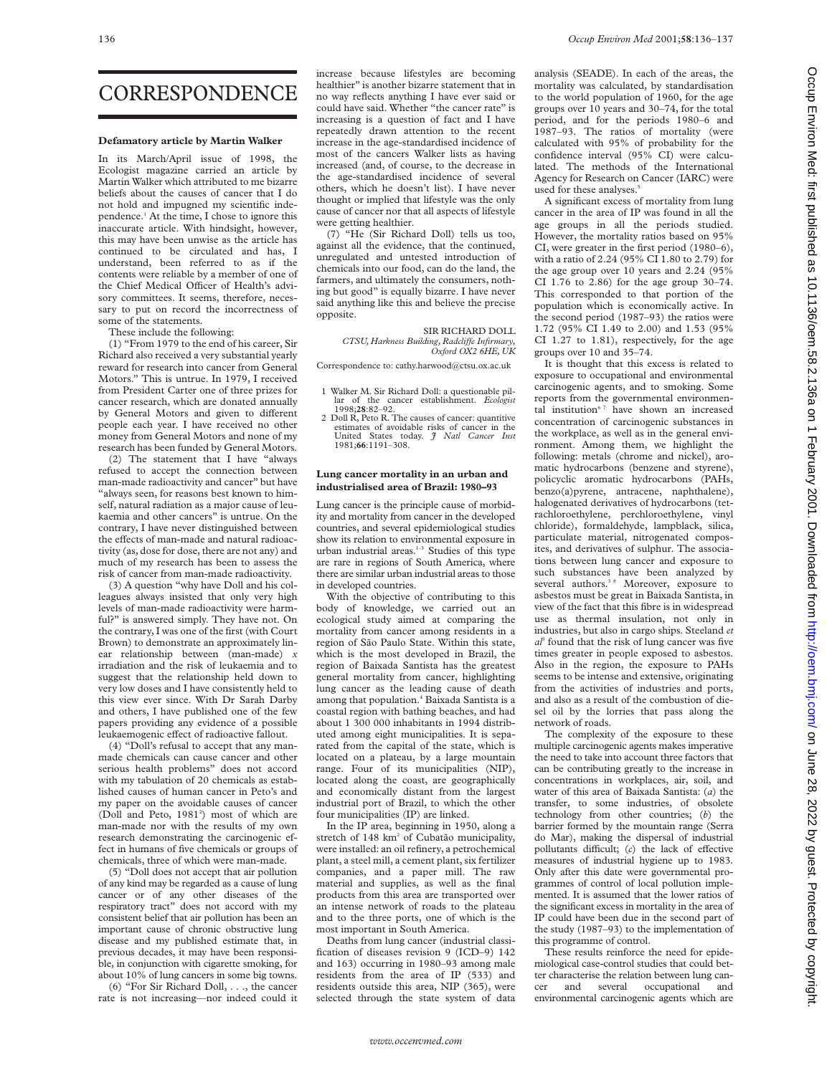## CORRESPONDENCE

#### **Defamatory article by Martin Walker**

In its March/April issue of 1998, the Ecologist magazine carried an article by Martin Walker which attributed to me bizarre beliefs about the causes of cancer that I do not hold and impugned my scientific independence.1 At the time, I chose to ignore this inaccurate article. With hindsight, however, this may have been unwise as the article has continued to be circulated and has, I understand, been referred to as if the contents were reliable by a member of one of the Chief Medical Officer of Health's advisory committees. It seems, therefore, necessary to put on record the incorrectness of some of the statements.

These include the following:

(1) "From 1979 to the end of his career, Sir Richard also received a very substantial yearly reward for research into cancer from General Motors." This is untrue. In 1979, I received from President Carter one of three prizes for cancer research, which are donated annually by General Motors and given to different people each year. I have received no other money from General Motors and none of my research has been funded by General Motors.

(2) The statement that I have "always refused to accept the connection between man-made radioactivity and cancer" but have "always seen, for reasons best known to himself, natural radiation as a major cause of leukaemia and other cancers" is untrue. On the contrary, I have never distinguished between the effects of man-made and natural radioactivity (as, dose for dose, there are not any) and much of my research has been to assess the risk of cancer from man-made radioactivity.

(3) A question "why have Doll and his colleagues always insisted that only very high levels of man-made radioactivity were harmful?" is answered simply. They have not. On the contrary, I was one of the first (with Court Brown) to demonstrate an approximately linear relationship between (man-made) *x* irradiation and the risk of leukaemia and to suggest that the relationship held down to very low doses and I have consistently held to this view ever since. With Dr Sarah Darby and others, I have published one of the few papers providing any evidence of a possible leukaemogenic effect of radioactive fallout.

(4) "Doll's refusal to accept that any manmade chemicals can cause cancer and other serious health problems" does not accord with my tabulation of 20 chemicals as established causes of human cancer in Peto's and my paper on the avoidable causes of cancer (Doll and Peto, 1981<sup>2</sup>) most of which are man-made nor with the results of my own research demonstrating the carcinogenic effect in humans of five chemicals or groups of chemicals, three of which were man-made.

(5) "Doll does not accept that air pollution of any kind may be regarded as a cause of lung cancer or of any other diseases of the respiratory tract" does not accord with my consistent belief that air pollution has been an important cause of chronic obstructive lung disease and my published estimate that, in previous decades, it may have been responsible, in conjunction with cigarette smoking, for about 10% of lung cancers in some big towns.

(6) "For Sir Richard Doll, . . ., the cancer rate is not increasing—nor indeed could it

increase because lifestyles are becoming healthier" is another bizarre statement that in no way reflects anything I have ever said or could have said. Whether "the cancer rate" is increasing is a question of fact and I have repeatedly drawn attention to the recent increase in the age-standardised incidence of most of the cancers Walker lists as having increased (and, of course, to the decrease in the age-standardised incidence of several others, which he doesn't list). I have never thought or implied that lifestyle was the only cause of cancer nor that all aspects of lifestyle were getting healthier.

(7) "He (Sir Richard Doll) tells us too, against all the evidence, that the continued, unregulated and untested introduction of chemicals into our food, can do the land, the farmers, and ultimately the consumers, nothing but good" is equally bizarre. I have never said anything like this and believe the precise opposite.

> SIR RICHARD DOLL *CTSU, Harkness Building, RadcliVe Infirmary, Oxford OX2 6HE, UK*

Correspondence to: cathy.harwood@ctsu.ox.ac.uk

- 1 Walker M. Sir Richard Doll: a questionable pillar of the cancer establishment. *Ecologist* 1998;**28**:82–92.
- 2 Doll R, Peto R. The causes of cancer: quantitive estimates of avoidable risks of cancer in the United States today. *J Natl Cancer Inst* 1981;**66**:1191–308.

#### **Lung cancer mortality in an urban and industrialised area of Brazil: 1980–93**

Lung cancer is the principle cause of morbidity and mortality from cancer in the developed countries, and several epidemiological studies show its relation to environmental exposure in urban industrial areas.<sup>1-3</sup> Studies of this type are rare in regions of South America, where there are similar urban industrial areas to those in developed countries.

With the objective of contributing to this body of knowledge, we carried out an ecological study aimed at comparing the mortality from cancer among residents in a region of São Paulo State. Within this state, which is the most developed in Brazil, the region of Baixada Santista has the greatest general mortality from cancer, highlighting lung cancer as the leading cause of death among that population.4 Baixada Santista is a coastal region with bathing beaches, and had about 1 300 000 inhabitants in 1994 distributed among eight municipalities. It is separated from the capital of the state, which is located on a plateau, by a large mountain range. Four of its municipalities (NIP), located along the coast, are geographically and economically distant from the largest industrial port of Brazil, to which the other four municipalities (IP) are linked.

In the IP area, beginning in 1950, along a stretch of 148 km<sup>2</sup> of Cubatão municipality, were installed: an oil refinery, a petrochemical plant, a steel mill, a cement plant, six fertilizer companies, and a paper mill. The raw material and supplies, as well as the final products from this area are transported over an intense network of roads to the plateau and to the three ports, one of which is the most important in South America.

Deaths from lung cancer (industrial classification of diseases revision 9 (ICD–9) 142 and 163) occurring in 1980–93 among male residents from the area of IP (533) and residents outside this area, NIP (365), were selected through the state system of data

analysis (SEADE). In each of the areas, the mortality was calculated, by standardisation to the world population of 1960, for the age groups over 10 years and 30–74, for the total period, and for the periods 1980–6 and 1987–93. The ratios of mortality (were calculated with 95% of probability for the confidence interval (95% CI) were calculated. The methods of the International Agency for Research on Cancer (IARC) were used for these analyses.<sup>5</sup>

A significant excess of mortality from lung cancer in the area of IP was found in all the age groups in all the periods studied. However, the mortality ratios based on 95% CI, were greater in the first period (1980–6), with a ratio of 2.24 (95% CI 1.80 to 2.79) for the age group over 10 years and 2.24 (95% CI 1.76 to 2.86) for the age group 30–74. This corresponded to that portion of the population which is economically active. In the second period (1987–93) the ratios were 1.72 (95% CI 1.49 to 2.00) and 1.53 (95% CI 1.27 to 1.81), respectively, for the age groups over 10 and 35–74.

It is thought that this excess is related to exposure to occupational and environmental carcinogenic agents, and to smoking. Some reports from the governmental environmental institution<sup>67</sup> have shown an increased concentration of carcinogenic substances in the workplace, as well as in the general environment. Among them, we highlight the following: metals (chrome and nickel), aromatic hydrocarbons (benzene and styrene), policyclic aromatic hydrocarbons (PAHs, benzo(a)pyrene, antracene, naphthalene), halogenated derivatives of hydrocarbons (tetrachloroethylene, perchloroethylene, vinyl chloride), formaldehyde, lampblack, silica, particulate material, nitrogenated composites, and derivatives of sulphur. The associations between lung cancer and exposure to such substances have been analyzed by several authors.<sup>38</sup> Moreover, exposure to asbestos must be great in Baixada Santista, in view of the fact that this fibre is in widespread use as thermal insulation, not only in industries, but also in cargo ships. Steeland *et al*<sup>3</sup> found that the risk of lung cancer was five times greater in people exposed to asbestos. Also in the region, the exposure to PAHs seems to be intense and extensive, originating from the activities of industries and ports, and also as a result of the combustion of diesel oil by the lorries that pass along the network of roads.

The complexity of the exposure to these multiple carcinogenic agents makes imperative the need to take into account three factors that can be contributing greatly to the increase in concentrations in workplaces, air, soil, and water of this area of Baixada Santista: (*a*) the transfer, to some industries, of obsolete technology from other countries; (*b*) the barrier formed by the mountain range (Serra do Mar), making the dispersal of industrial pollutants difficult; (c) the lack of effective measures of industrial hygiene up to 1983. Only after this date were governmental programmes of control of local pollution implemented. It is assumed that the lower ratios of the significant excess in mortality in the area of IP could have been due in the second part of the study (1987–93) to the implementation of this programme of control.

These results reinforce the need for epidemiological case-control studies that could better characterise the relation between lung cancer and several occupational and environmental carcinogenic agents which are